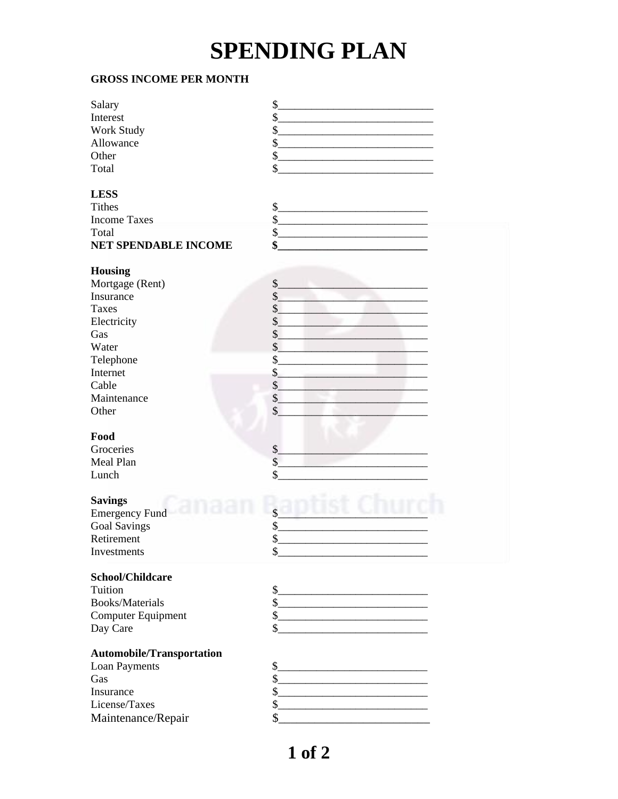## **SPENDING PLAN**

## **GROSS INCOME PER MONTH**

| Salary                           | \$                                                                           |
|----------------------------------|------------------------------------------------------------------------------|
| Interest                         | $\boldsymbol{\mathsf{S}}$                                                    |
| Work Study                       | \$                                                                           |
| Allowance                        | \$                                                                           |
| Other                            | \$                                                                           |
| Total                            | \$                                                                           |
|                                  |                                                                              |
| <b>LESS</b>                      |                                                                              |
| <b>Tithes</b>                    | \$                                                                           |
| <b>Income Taxes</b>              | \$                                                                           |
| Total                            | $\mathcal{L}_{\mathcal{L}}$                                                  |
| <b>NET SPENDABLE INCOME</b>      | \$                                                                           |
|                                  |                                                                              |
| <b>Housing</b>                   |                                                                              |
| Mortgage (Rent)                  | \$                                                                           |
| Insurance                        | $\frac{1}{2}$                                                                |
| <b>Taxes</b>                     | $\frac{1}{2}$                                                                |
| Electricity                      | $\frac{1}{2}$                                                                |
| Gas                              | \$                                                                           |
| Water                            | \$                                                                           |
| Telephone                        | \$                                                                           |
| Internet                         | \$                                                                           |
| Cable                            | \$                                                                           |
| Maintenance                      | \$                                                                           |
| Other                            | \$                                                                           |
|                                  |                                                                              |
| Food                             |                                                                              |
| Groceries                        | $\frac{1}{2}$                                                                |
| Meal Plan                        | \$                                                                           |
| Lunch                            | \$                                                                           |
|                                  |                                                                              |
| <b>Savings</b>                   |                                                                              |
| <b>Emergency Fund</b>            | \$                                                                           |
| <b>Goal Savings</b>              | \$                                                                           |
| Retirement                       | \$                                                                           |
| Investments                      | \$                                                                           |
|                                  |                                                                              |
| <b>School/Childcare</b>          |                                                                              |
| Tuition                          | $\frac{1}{2}$                                                                |
| <b>Books/Materials</b>           | $\mathbb{S}$                                                                 |
| <b>Computer Equipment</b>        | $\frac{1}{2}$                                                                |
| Day Care                         | \$                                                                           |
|                                  |                                                                              |
| <b>Automobile/Transportation</b> |                                                                              |
| Loan Payments                    | $S_{-}$<br><u> 1989 - Johann John Stone, mars eta biztanleria (h. 1982).</u> |
| Gas                              | $\frac{1}{2}$                                                                |
| Insurance                        | $\frac{1}{2}$                                                                |
| License/Taxes                    | $\mathcal{L}_{\mathcal{L}}$                                                  |
| Maintenance/Repair               | \$                                                                           |
|                                  |                                                                              |